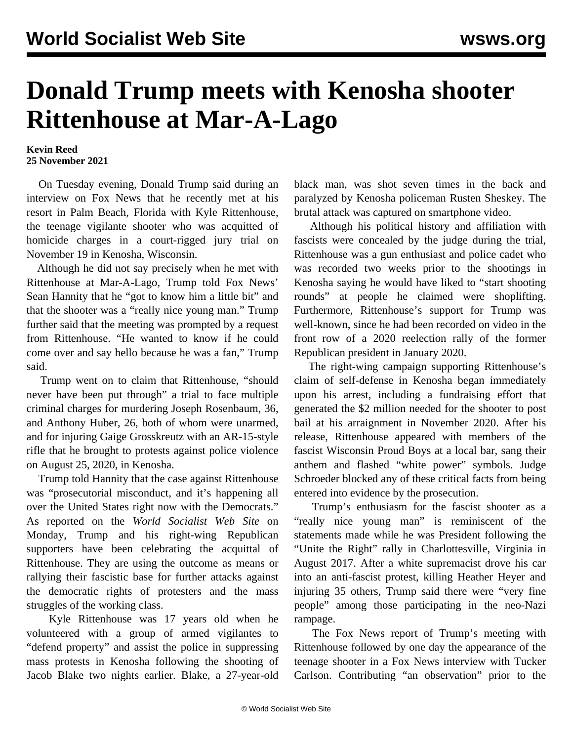## **Donald Trump meets with Kenosha shooter Rittenhouse at Mar-A-Lago**

## **Kevin Reed 25 November 2021**

 On Tuesday evening, Donald Trump said during an interview on Fox News that he recently met at his resort in Palm Beach, Florida with Kyle Rittenhouse, the teenage vigilante shooter who was acquitted of homicide charges in a court-rigged jury trial on November 19 in Kenosha, Wisconsin.

 Although he did not say precisely when he met with Rittenhouse at Mar-A-Lago, Trump told Fox News' Sean Hannity that he "got to know him a little bit" and that the shooter was a "really nice young man." Trump further said that the meeting was prompted by a request from Rittenhouse. "He wanted to know if he could come over and say hello because he was a fan," Trump said.

 Trump went on to claim that Rittenhouse, "should never have been put through" a trial to face multiple criminal charges for murdering Joseph Rosenbaum, 36, and Anthony Huber, 26, both of whom were unarmed, and for injuring Gaige Grosskreutz with an AR-15-style rifle that he brought to protests against police violence on August 25, 2020, in Kenosha.

 Trump told Hannity that the case against Rittenhouse was "prosecutorial misconduct, and it's happening all over the United States right now with the Democrats." As reported on the *World Socialist Web Site* on Monday, Trump and his right-wing Republican supporters have been celebrating the acquittal of Rittenhouse. They are using the outcome as means or rallying their fascistic base for further attacks against the democratic rights of protesters and the mass struggles of the working class.

 Kyle Rittenhouse was 17 years old when he volunteered with a group of armed vigilantes to "defend property" and assist the police in suppressing mass protests in Kenosha following the shooting of Jacob Blake two nights earlier. Blake, a 27-year-old black man, was shot seven times in the back and paralyzed by Kenosha policeman Rusten Sheskey. The brutal attack was captured on smartphone video.

 Although his political history and affiliation with fascists were concealed by the judge during the trial, Rittenhouse was a gun enthusiast and police cadet who was recorded two weeks prior to the shootings in Kenosha saying he would have liked to "start shooting rounds" at people he claimed were shoplifting. Furthermore, Rittenhouse's support for Trump was well-known, since he had been recorded on video in the front row of a 2020 reelection rally of the former Republican president in January 2020.

 The right-wing campaign supporting Rittenhouse's claim of self-defense in Kenosha began immediately upon his arrest, including a fundraising effort that generated the \$2 million needed for the shooter to post bail at his arraignment in November 2020. After his release, Rittenhouse appeared with members of the fascist Wisconsin Proud Boys at a local bar, sang their anthem and flashed "white power" symbols. Judge Schroeder blocked any of these critical facts from being entered into evidence by the prosecution.

 Trump's enthusiasm for the fascist shooter as a "really nice young man" is reminiscent of the statements made while he was President following the "Unite the Right" rally in Charlottesville, Virginia in August 2017. After a white supremacist drove his car into an anti-fascist protest, killing Heather Heyer and injuring 35 others, Trump said there were "very fine people" among those participating in the neo-Nazi rampage.

 The Fox News report of Trump's meeting with Rittenhouse followed by one day the appearance of the teenage shooter in a Fox News interview with Tucker Carlson. Contributing "an observation" prior to the